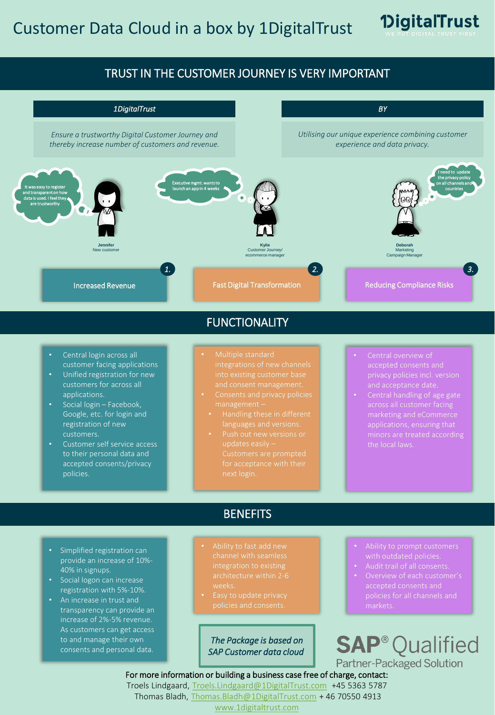

### TRUST IN THE CUSTOMER JOURNEY IS VERY IMPORTANT



### FUNCTIONALITY

- Central login across all customer facing applications
- Unified registration for new applications.
- Social login Facebook, Google, etc. for login and registration of new customers.
- Customer self service access to their personal data and accepted consents/privacy policies.
- Multiple standard
- 
- 
- 
- Central overview of accepted consents and
- Central handling of age gate applications, ensuring that

# **BENEFITS**

- Simplified registration can provide an increase of 10%- 40% in signups.
- Social logon can increase registration with 5%-10%.
- An increase in trust and transparency can provide an increase of 2%-5% revenue. As customers can get access to and manage their own consents and personal data.
- Ability to fast add new channel with seamless integration to existing architecture within 2-6
- Easy to update privacy

*The Package is based on SAP Customer data cloud*

- Ability to prompt customers with outdated policies.
- 
- policies for all channels and markets.

**SAP<sup>®</sup>Qualified** Partner-Packaged Solution

For more information or building a business case free of charge, contact:

Troels Lindgaard, [Troels.Lindgaard@1DigitalTrust.com](mailto:Troels.Lindgaard@1DigitalTrust.com) +45 5363 5787 Thomas Bladh, [Thomas.Bladh@1DigitalTrust.com](mailto:Thomas.Bladh@1DigitalTrust.com) + 46 70550 4913

[www.1digitaltrust.com](http://www.1digitaltrust.com/)